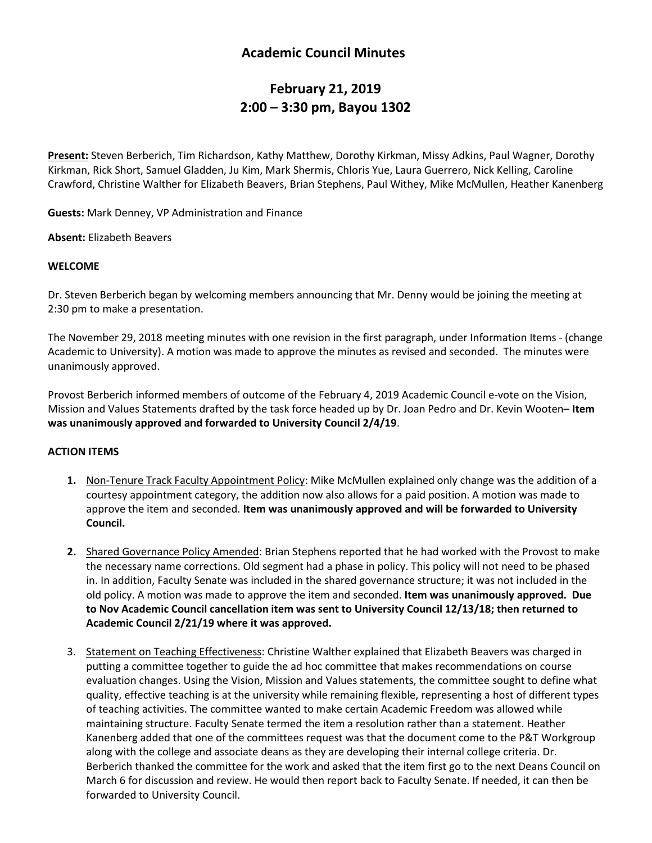## **Academic Council Minutes**

# **February 21, 2019 2:00 – 3:30 pm, Bayou 1302**

**Present:** Steven Berberich, Tim Richardson, Kathy Matthew, Dorothy Kirkman, Missy Adkins, Paul Wagner, Dorothy Kirkman, Rick Short, Samuel Gladden, Ju Kim, Mark Shermis, Chloris Yue, Laura Guerrero, Nick Kelling, Caroline Crawford, Christine Walther for Elizabeth Beavers, Brian Stephens, Paul Withey, Mike McMullen, Heather Kanenberg

**Guests:** Mark Denney, VP Administration and Finance

**Absent:** Elizabeth Beavers

#### **WELCOME**

Dr. Steven Berberich began by welcoming members announcing that Mr. Denny would be joining the meeting at 2:30 pm to make a presentation.

The November 29, 2018 meeting minutes with one revision in the first paragraph, under Information Items - (change Academic to University). A motion was made to approve the minutes as revised and seconded. The minutes were unanimously approved.

Provost Berberich informed members of outcome of the February 4, 2019 Academic Council e-vote on the Vision, Mission and Values Statements drafted by the task force headed up by Dr. Joan Pedro and Dr. Kevin Wooten– **Item was unanimously approved and forwarded to University Council 2/4/19**.

#### **ACTION ITEMS**

- **1.** Non-Tenure Track Faculty Appointment Policy: Mike McMullen explained only change was the addition of a courtesy appointment category, the addition now also allows for a paid position. A motion was made to approve the item and seconded. **Item was unanimously approved and will be forwarded to University Council.**
- **2.** Shared Governance Policy Amended: Brian Stephens reported that he had worked with the Provost to make the necessary name corrections. Old segment had a phase in policy. This policy will not need to be phased in. In addition, Faculty Senate was included in the shared governance structure; it was not included in the old policy. A motion was made to approve the item and seconded. **Item was unanimously approved. Due to Nov Academic Council cancellation item was sent to University Council 12/13/18; then returned to Academic Council 2/21/19 where it was approved.**
- 3. Statement on Teaching Effectiveness: Christine Walther explained that Elizabeth Beavers was charged in putting a committee together to guide the ad hoc committee that makes recommendations on course evaluation changes. Using the Vision, Mission and Values statements, the committee sought to define what quality, effective teaching is at the university while remaining flexible, representing a host of different types of teaching activities. The committee wanted to make certain Academic Freedom was allowed while maintaining structure. Faculty Senate termed the item a resolution rather than a statement. Heather Kanenberg added that one of the committees request was that the document come to the P&T Workgroup along with the college and associate deans as they are developing their internal college criteria. Dr. Berberich thanked the committee for the work and asked that the item first go to the next Deans Council on March 6 for discussion and review. He would then report back to Faculty Senate. If needed, it can then be forwarded to University Council.